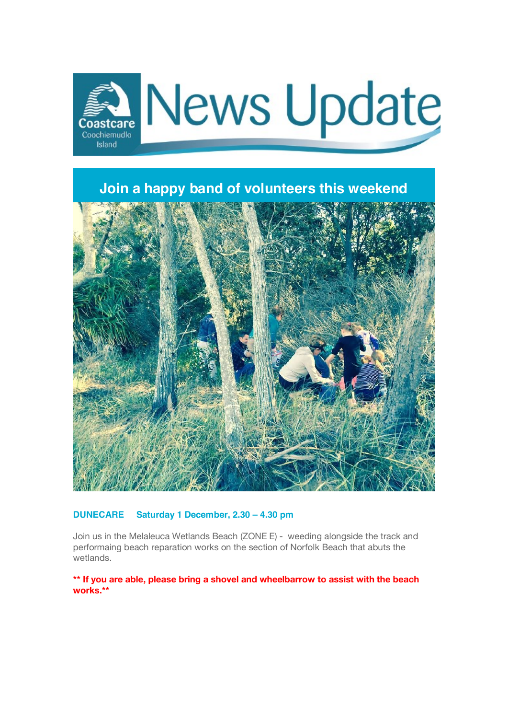

**Join a happy band of volunteers this weekend**



### **DUNECARE Saturday 1 December, 2.30 – 4.30 pm**

Join us in the Melaleuca Wetlands Beach (ZONE E) - weeding alongside the track and performaing beach reparation works on the section of Norfolk Beach that abuts the wetlands.

**\*\* If you are able, please bring a shovel and wheelbarrow to assist with the beach works.\*\***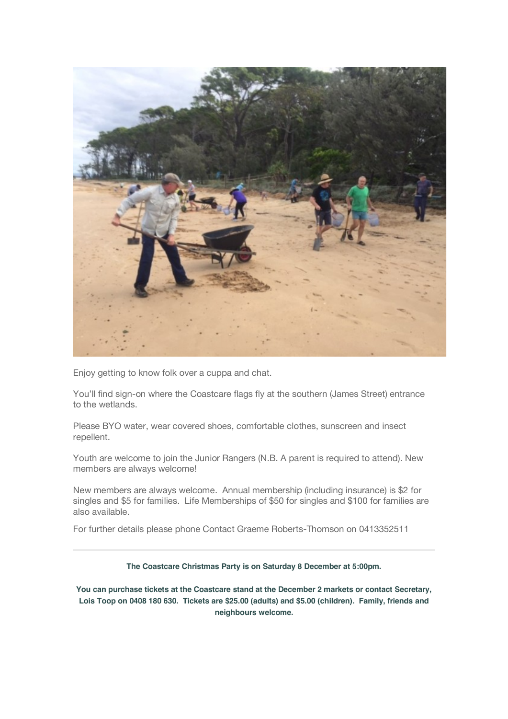

Enjoy getting to know folk over a cuppa and chat.

You'll find sign-on where the Coastcare flags fly at the southern (James Street) entrance to the wetlands.

Please BYO water, wear covered shoes, comfortable clothes, sunscreen and insect repellent.

Youth are welcome to join the Junior Rangers (N.B. A parent is required to attend). New members are always welcome!

New members are always welcome. Annual membership (including insurance) is \$2 for singles and \$5 for families. Life Memberships of \$50 for singles and \$100 for families are also available.

For further details please phone Contact Graeme Roberts-Thomson on 0413352511

**The Coastcare Christmas Party is on Saturday 8 December at 5:00pm.**

**You can purchase tickets at the Coastcare stand at the December 2 markets or contact Secretary, Lois Toop on 0408 180 630. Tickets are \$25.00 (adults) and \$5.00 (children). Family, friends and neighbours welcome.**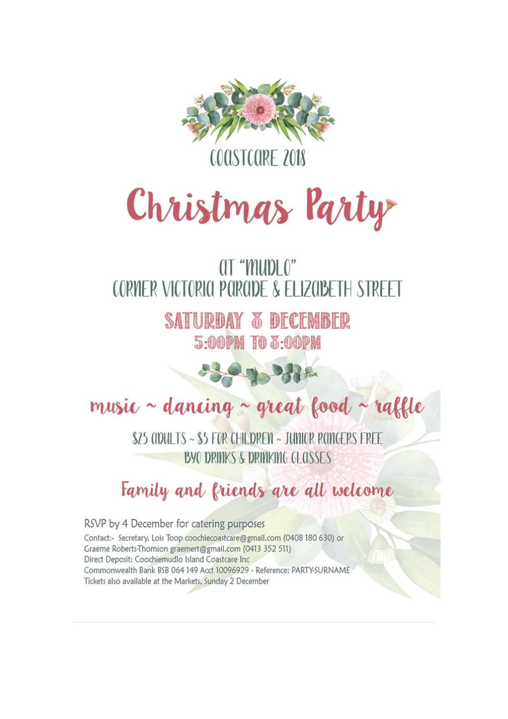



## **QT "MUDLO"** CORNER VICTORIA PARADE & ELIZABETH STREET

**SATURDAY 3 DECEMBER 5:00PM TO 3:00PM** 

# music ~ dancing ~ great food ~ raffle

\$25 ADULTS ~ \$5 FOR CHILDREN ~ JUMIOR RANGERS FREE **BYO DRINKS & DRINKING GLASSES** 

## Family and friends are all welcome

RSVP by 4 December for catering purposes Contact:- Secretary, Lois Toop coochiecoastcare@gmail.com (0408 180 630) or Graeme Roberts-Thomson graemert@gmail.com (0413 352 511) Direct Deposit: Coochiemudlo Island Coastcare Inc Commonwealth Bank BSB 064 149 Acct 10096929 - Reference: PARTY-SURNAME Tickets also available at the Markets, Sunday 2 December